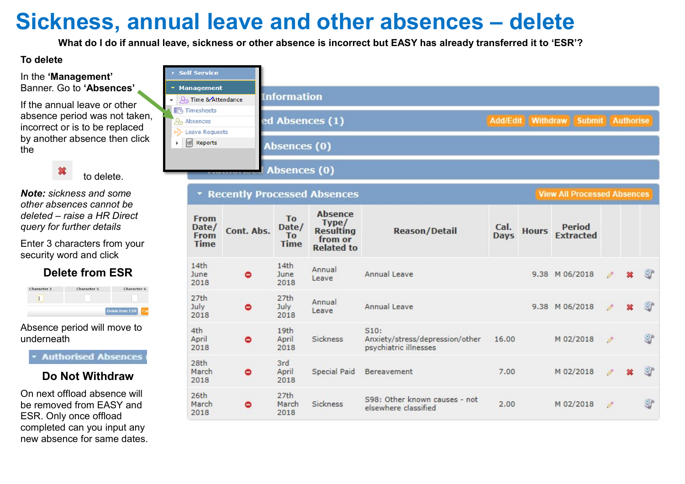## Sickness, annual leave and other absences – delete

What do I do if annual leave, sickness or other absence is incorrect but EASY has already transferred it to 'ESR'?

### To delete

#### In the 'Management' Banner. Go to 'Absences'

If the annual leave or other absence period was not taken, incorrect or is to be replaced by another absence then click the

to delete.

Note: sickness and some other absences cannot be deleted – raise a HR Direct query for further details

Enter 3 characters from your security word and click

## Delete from ESR

| Character 2 | <b>Character 5</b> | Character 6     |
|-------------|--------------------|-----------------|
|             |                    |                 |
|             |                    | Delete from ESR |

Absence period will move to underneath

**Authorised Absences** 

### Do Not Withdraw

On next offload absence will be removed from EASY and ESR. Only once offload completed can you input any new absence for same dates.

| <b>Self Service</b>                                               |                    |                                                          |                                                                             |                                                                  |                     |              |                                    |    |           |
|-------------------------------------------------------------------|--------------------|----------------------------------------------------------|-----------------------------------------------------------------------------|------------------------------------------------------------------|---------------------|--------------|------------------------------------|----|-----------|
| * Management<br>← Q <sub>o</sub> Time & Attendance                |                    | <b>Information</b>                                       |                                                                             |                                                                  |                     |              |                                    |    |           |
| <b>II</b> b Timesheets<br><b>2</b> Absences<br>>>> Leave Requests |                    |                                                          | ed Absences (1)                                                             |                                                                  |                     |              | Add/Edit Withdraw Submit Authorise |    |           |
| $\sqrt{\omega}$<br>Reports                                        |                    | Absences (0)                                             |                                                                             |                                                                  |                     |              |                                    |    |           |
|                                                                   | <b>***********</b> | Absences (0)                                             |                                                                             |                                                                  |                     |              |                                    |    |           |
|                                                                   |                    |                                                          | <b>TRecently Processed Absences</b>                                         |                                                                  |                     |              | <b>View All Processed Absences</b> |    |           |
| From<br>Date/<br><b>From</b><br><b>Time</b>                       | Cont. Abs.         | T <sub>o</sub><br>Date/<br>T <sub>o</sub><br><b>Time</b> | <b>Absence</b><br>Type/<br><b>Resulting</b><br>from or<br><b>Related to</b> | <b>Reason/Detail</b>                                             | Cal.<br><b>Days</b> | <b>Hours</b> | Period<br><b>Extracted</b>         |    |           |
| 14th<br>June<br>2018                                              | ۰                  | 14 <sub>th</sub><br>June<br>2018                         | Annual<br>Leave                                                             | Annual Leave                                                     |                     |              | 9.38 M 06/2018                     |    | <b>OP</b> |
| 27th<br>July<br>2018                                              | ٥                  | 27th<br>July<br>2018                                     | Annual<br>Leave                                                             | Annual Leave                                                     |                     |              | 9.38 M 06/2018                     | P  | 9p        |
| 4th<br>April<br>2018                                              | $\bullet$          | 19th<br>April<br>2018                                    | <b>Sickness</b>                                                             | 510:<br>Anxiety/stress/depression/other<br>psychiatric illnesses | 16.00               |              | M 02/2018                          | p  | 9P        |
| 28th<br>March<br>2018                                             | ۰                  | 3rd<br>April<br>2018                                     | Special Paid                                                                | Bereavement                                                      | 7.00                |              | M 02/2018                          | P. | 9         |
| 26th<br>March<br>2018                                             | ٥                  | 27th<br>March<br>2018                                    | <b>Sickness</b>                                                             | S98: Other known causes - not<br>elsewhere classified            | 2.00                |              | M 02/2018                          | P. | OP        |